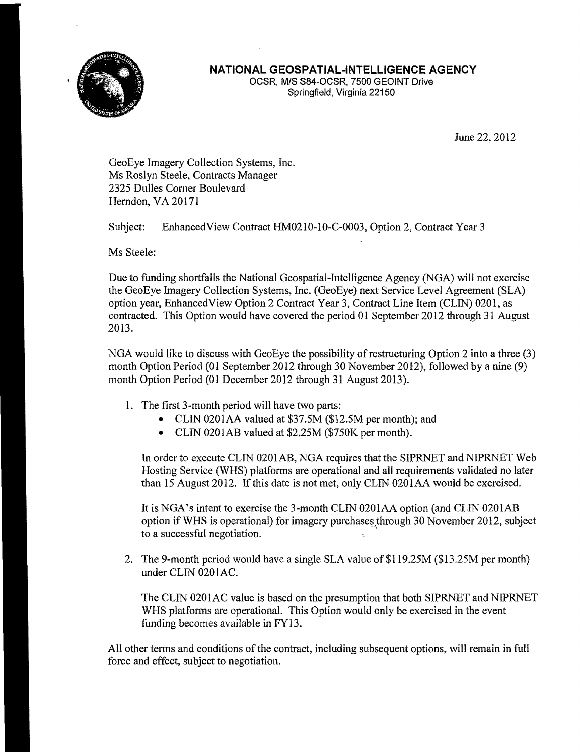

## **NATIONAL GEOSPATIAL-INTELLIGENCE AGENCY**

OCSR, MIS S84-0CSR, 7500 GEOINT Drive Springfield, Virginia 22150

June 22, 2012

GeoEye Imagery Collection Systems, Inc. Ms Roslyn Steele, Contracts Manager 2325 Dulles Corner Boulevard Herndon, VA 20171

Subject: Enhanced View Contract HM0210-10-C-0003, Option 2, Contract Year 3

Ms Steele:

Due to funding shortfalls the National Geospatial-IntelIigence Agency (NGA) will not exercise the GeoEye Imagery Collection Systems, Inc. (GeoEye) next Service Level Agreement (SLA) option year, EnhancedView Option 2 Contract Year 3, Contract Line Item (CLIN) 0201, as contracted. This Option would have covered the period 01 September 2012 through 31 August 2013.

NGA would like to discuss with GeoEye the possibility of restructuring Option 2 into a three (3) month Option Period (01 September 2012 through 30 November 2012), followed by a nine (9) month Option Period (01 December 2012 through 31 August 2013).

- 1. The first 3-month period will have two parts:
	- CLIN 0201AA valued at \$37.5M (\$12.5M per month); and
	- CLIN 0201AB valued at \$2.25M (\$750K per month).

In order to execute CLIN 0201 AB, NGA requires that the SIPRNET and NIPRNET Web Hosting Service (WHS) platforms are operational and all requirements validated no later than 15 August 2012. If this date is not met, only CLIN 0201AA would be exercised.

It is NGA's intent to exercise the 3-month CLIN 020lAA option (and CLIN 0201AB option if WHS is operational) for imagery purchases through 30 November 2012, subject to a successful negotiation.

2. The 9-month period would have a single SLA value of \$119.25M (\$13.25M per month) under CLIN 020 lAC.

The CLIN 0201AC value is based on the presumption that both SIPRNET and NIPRNET WHS platforms are operational. This Option would only be exercised in the event funding becomes available in FY13.

All other terms and conditions of the contract, including subsequent options, will remain in full force and effect, subject to negotiation.